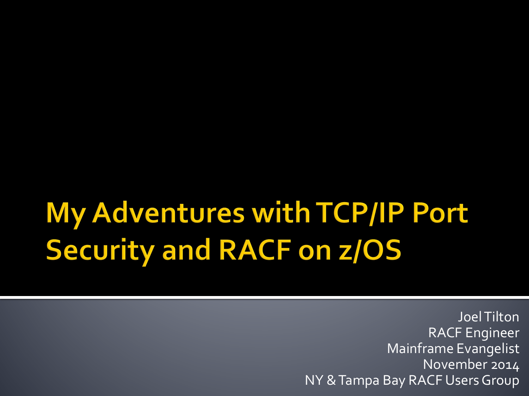### My Adventures with TCP/IP Port **Security and RACF on z/OS**

Joel Tilton RACF Engineer Mainframe Evangelist November 2014 NY & Tampa Bay RACF Users Group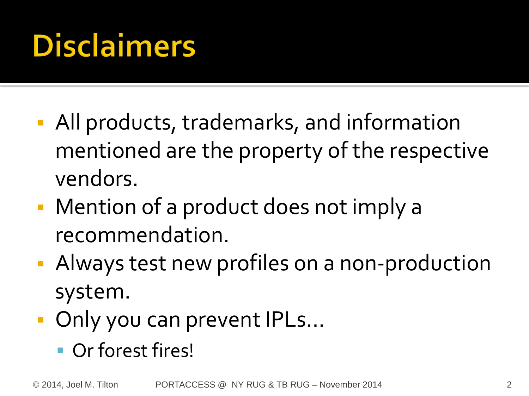## **Disclaimers**

- All products, trademarks, and information mentioned are the property of the respective vendors.
- Mention of a product does not imply a recommendation.
- **Always test new profiles on a non-production** system.
- Only you can prevent IPLs...
	- Or forest fires!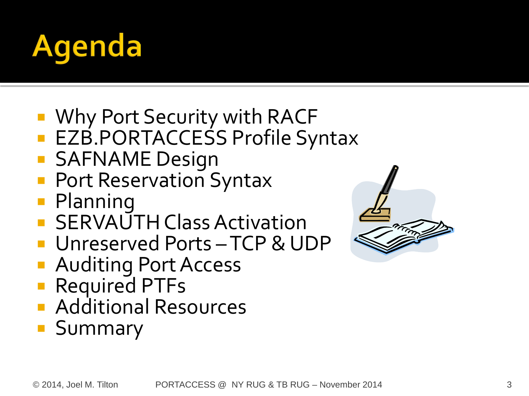

- Why Port Security with RACF
- **EZB.PORTACCESS Profile Syntax**
- SAFNAME Design
- Port Reservation Syntax
- **Planning**
- **SERVAUTH Class Activation**
- **Unreserved Ports-TCP & UDP**
- Auditing Port Access
- Required PTFs
- **Additional Resources**
- **Summary**

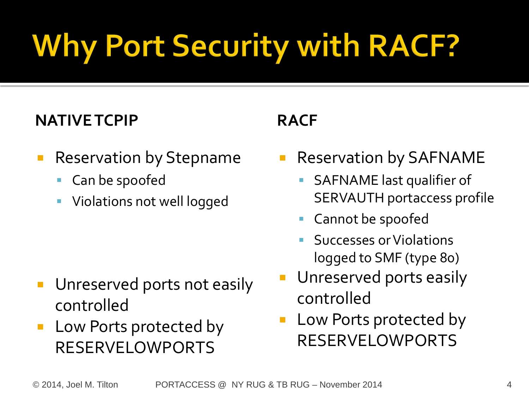# **Why Port Security with RACF?**

#### **NATIVE TCPIP**

- **Reservation by Stepname** 
	- Can be spoofed
	- Violations not well logged

- **Unreserved ports not easily** controlled
- **Low Ports protected by** RESERVELOWPORTS

#### **RACF**

- Reservation by SAFNAME
	- SAFNAME last qualifier of SERVAUTH portaccess profile
	- Cannot be spoofed
	- Successes or Violations logged to SMF (type 80)
- Unreserved ports easily controlled
- Low Ports protected by RESERVELOWPORTS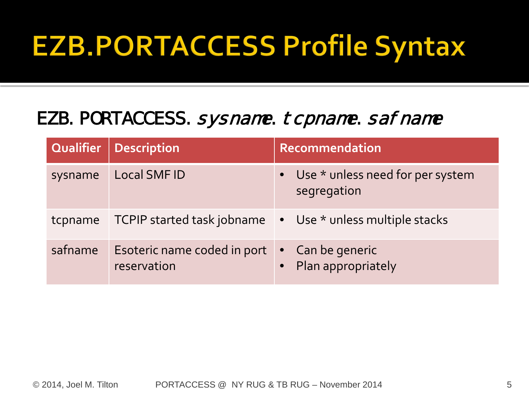### **EZB.PORTACCESS Profile Syntax**

#### EZB. PORTACCESS. sysname. tcpname. safname

| Qualifier | Description                                | Recommendation                                    |
|-----------|--------------------------------------------|---------------------------------------------------|
| sysname   | Local SMF ID                               | • Use * unless need for per system<br>segregation |
| tcpname   | TCPIP started task jobname                 | • Use * unless multiple stacks                    |
| safname   | Esoteric name coded in port<br>reservation | • Can be generic<br>Plan appropriately            |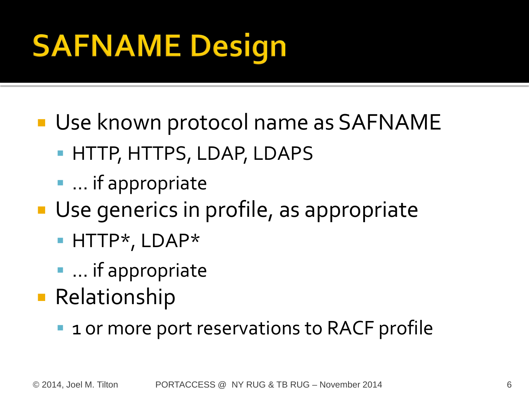# **SAFNAME Design**

- **Use known protocol name as SAFNAME** 
	- **HTTP, HTTPS, LDAP, LDAPS**
	- **•** ... if appropriate
- Use generics in profile, as appropriate
	- HTTP\*, LDAP\*
	- **•** ... if appropriate
- **Relationship** 
	- 1 or more port reservations to RACF profile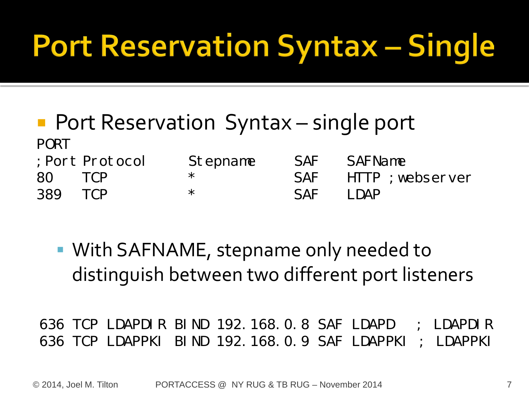### **Port Reservation Syntax - Single**

- **Port Reservation Syntax single port** PORT ;Port Protocol Stepname SAF SAFName
- 80 TCP \* SAF HTTP ;webserver 389 TCP \* SAF LDAP
	- With SAFNAME, stepname only needed to distinguish between two different port listeners

636 TCP LDAPDIR BIND 192.168.0.8 SAF LDAPD ; LDAPDIR 636 TCP LDAPPKI BIND 192.168.0.9 SAF LDAPPKI ; LDAPPKI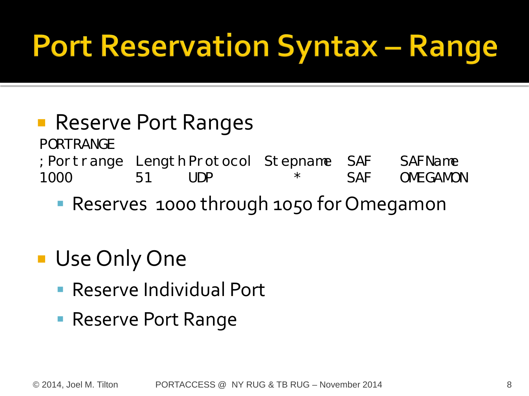### **Port Reservation Syntax - Range**

- Reserve Port Ranges PORTRANGE
- ;Portrange Length Protocol Stepname SAF SAFName 1000 51 UDP \* SAF OMEGAMON
	- Reserves 1000 through 1050 for Omegamon
- **Use Only One** 
	- Reserve Individual Port
	- **Reserve Port Range**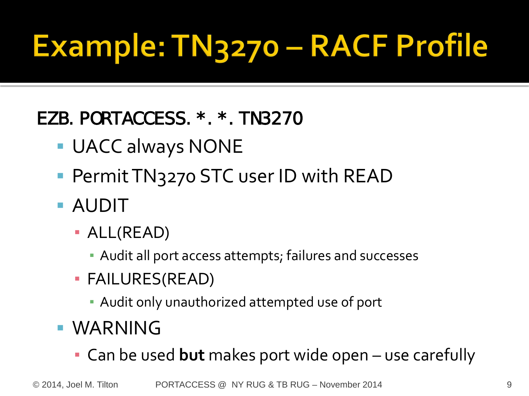# Example: TN3270 - RACF Profile

#### EZB.PORTACCESS.\*.\*.TN3270

- UACC always NONE
- **Permit TN3270 STC user ID with READ**
- AUDIT
	- ALL(READ)
		- **EXALGE And Audit all port access attempts; failures and successes**
	- FAILURES(READ)
		- **Audit only unauthorized attempted use of port**
- **WARNING** 
	- Can be used **but** makes port wide open use carefully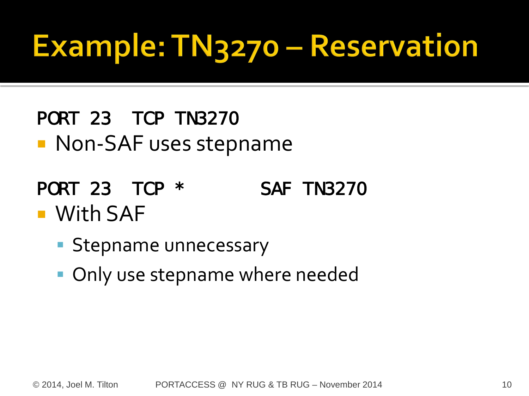# Example: TN3270 - Reservation

- PORT 23 TCP TN3270
- **Non-SAF uses stepname**
- PORT 23 TCP \* SAF TN3270 **Nith SAF** 
	- **Stepname unnecessary**
	- Only use stepname where needed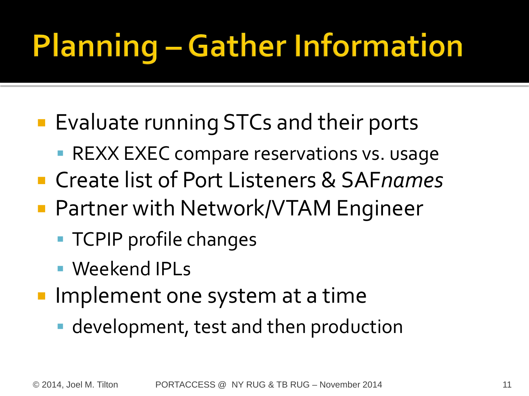# **Planning - Gather Information**

- **Evaluate running STCs and their ports** 
	- **REXX EXEC compare reservations vs. usage**
- Create list of Port Listeners & SAF*names*
- Partner with Network/VTAM Engineer
	- **TCPIP** profile changes
	- Weekend IPLs
- **Implement one system at a time** 
	- development, test and then production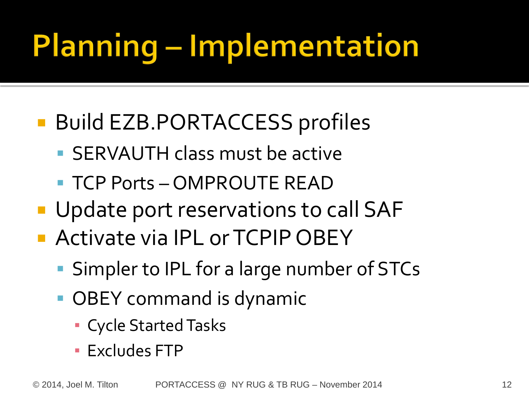# **Planning - Implementation**

### ■ Build EZB.PORTACCESS profiles

- SERVAUTH class must be active
- TCP Ports OMPROUTE READ
- **Update port reservations to call SAF**
- **Activate via IPL or TCPIP OBEY** 
	- Simpler to IPL for a large number of STCs
	- **OBEY** command is dynamic
		- Cycle Started Tasks
		- **Excludes FTP**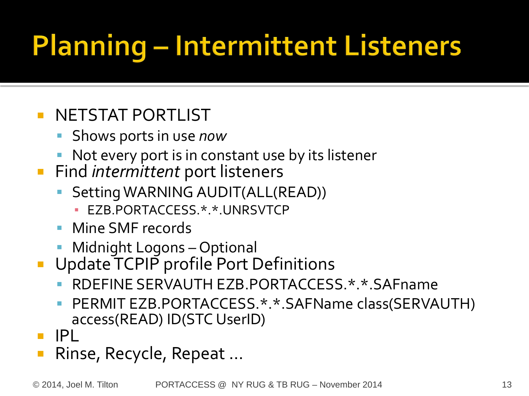## **Planning - Intermittent Listeners**

#### **NETSTAT PORTLIST**

- Shows ports in use *now*
- Not every port is in constant use by its listener
- **Find intermittent port listeners** 
	- Setting WARNING AUDIT(ALL(READ))
		- **· EZB.PORTACCESS.\*.\*.UNRSVTCP**
	- Mine SMF records
	- **Midnight Logons Optional**
- **Update TCPIP** profile Port Definitions
	- RDEFINE SERVAUTH EZB.PORTACCESS.\*.\*.SAFname
	- PERMIT EZB.PORTACCESS.\*.\*.SAFName class(SERVAUTH) access(READ) ID(STC UserID)
- IPL
- Rinse, Recycle, Repeat …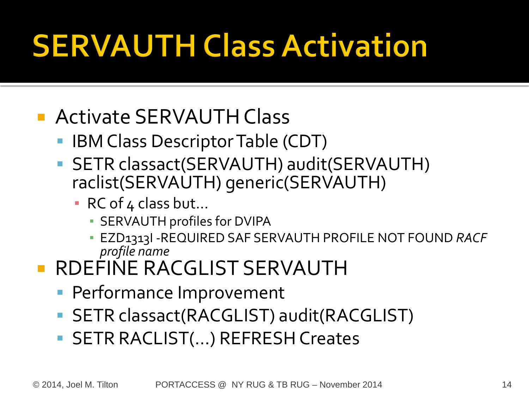# **SERVAUTH Class Activation**

### **Activate SERVAUTH Class**

- IBM Class Descriptor Table (CDT)
- SETR classact(SERVAUTH) audit(SERVAUTH) raclist(SERVAUTH) generic(SERVAUTH)
	- RC of 4 class but...
		- **E** SERVAUTH profiles for DVIPA
		- EZD1313I -REQUIRED SAF SERVAUTH PROFILE NOT FOUND *RACF profile name*
- **RDEFINE RACGLIST SERVAUTH** 
	- **Performance Improvement**
	- SETR classact(RACGLIST) audit(RACGLIST)
	- SETR RACLIST(...) REFRESH Creates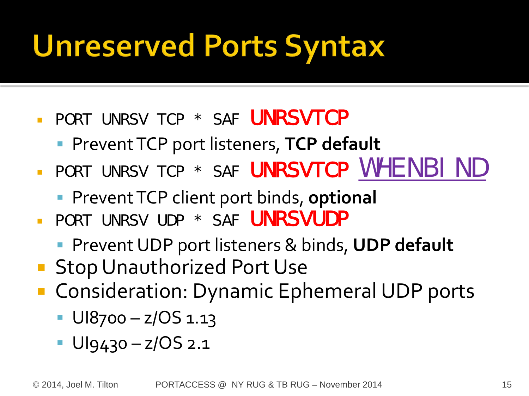### **Unreserved Ports Syntax**

- **PORT UNRSV TCP \* SAF UNRSVTCP** 
	- **Prevent TCP port listeners, TCP default**
- PORT UNRSV TCP \* SAF UNRSVTCP WHENBIND
	- **Prevent TCP client port binds, optional**
- **PORT UNRSV UDP \* SAF UNRSVUDP** 
	- **Prevent UDP port listeners & binds, UDP default**
- **Stop Unauthorized Port Use**
- **Consideration: Dynamic Ephemeral UDP ports** 
	- $\blacksquare$  UI8700 z/OS 1.13
	- $\blacksquare$  Ulg430 z/OS 2.1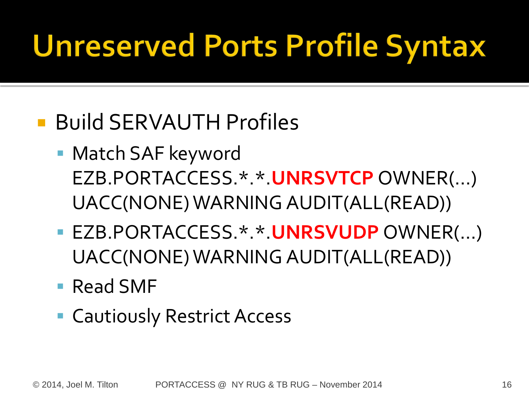### **Unreserved Ports Profile Syntax**

### ■ Build SERVAUTH Profiles

- Match SAF keyword EZB.PORTACCESS.\*.\*.**UNRSVTCP** OWNER(…) UACC(NONE) WARNING AUDIT(ALL(READ))
- EZB.PORTACCESS.\*.\*.**UNRSVUDP** OWNER(…) UACC(NONE) WARNING AUDIT(ALL(READ))
- Read SMF
- Cautiously Restrict Access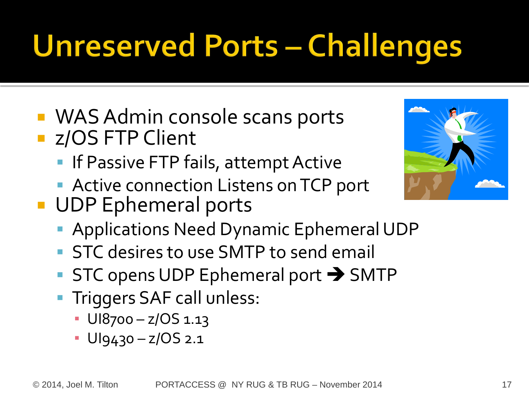# **Unreserved Ports - Challenges**

- WAS Admin console scans ports **z/OS FTP Client** 
	- **If Passive FTP fails, attempt Active**
	- **Active connection Listens on TCP port**
- **UDP Ephemeral ports** 
	- **Applications Need Dynamic Ephemeral UDP**
	- **STC** desires to use SMTP to send email
	- $\blacksquare$  STC opens UDP Ephemeral port  $\rightarrow$  SMTP
	- **Triggers SAF call unless:** 
		- $\cdot$  UI8700 z/OS 1.13
		- UI9430 z/OS 2.1

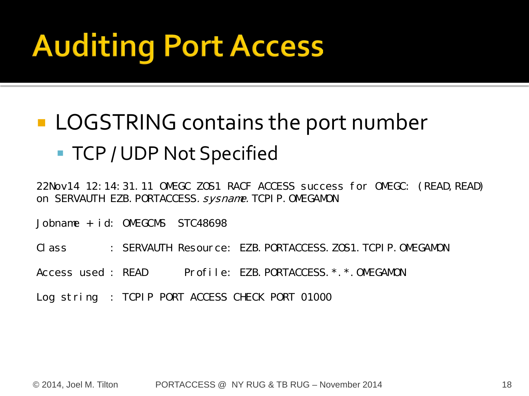# **Auditing Port Access**

### **LOGSTRING contains the port number** ■ TCP / UDP Not Specified

22Nov14 12:14:31.11 OMEGC ZOS1 RACF ACCESS success for OMEGC: (READ, READ) on SERVAUTH EZB. PORTACCESS. sysname. TCPIP. OMEGAMON

Jobname + id: OMEGCMS STC48698

Class : SERVAUTH Resource: EZB.PORTACCESS.ZOS1.TCPIP.OMEGAMON

Access used : READ Profile: EZB. PORTACCESS. \*. \*. OMEGAMON

Log string : TCPIP PORT ACCESS CHECK PORT 01000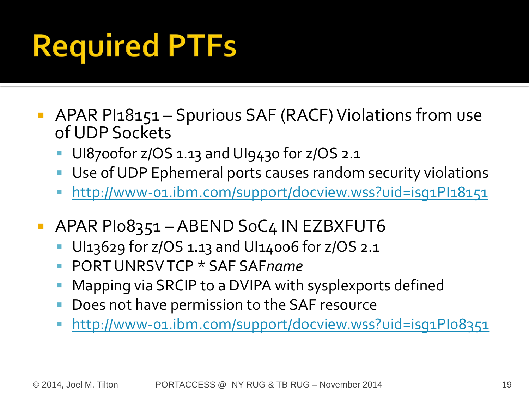# **Required PTFs**

- **APAR PI18151 Spurious SAF (RACF) Violations from use** of UDP Sockets
	- UI8700for z/OS 1.13 and UI9430 for z/OS 2.1
	- Use of UDP Ephemeral ports causes random security violations
	- http://www-01.ibm.com/support/docview.wss?uid=isg1Pl18151
- APAR PI08351 ABEND SoC4 IN EZBXFUT6
	- UI13629 for z/OS 1.13 and UI14006 for z/OS 2.1
	- PORT UNRSV TCP \* SAF SAF*name*
	- Mapping via SRCIP to a DVIPA with sysplexports defined
	- Does not have permission to the SAF resource
	- <http://www-01.ibm.com/support/docview.wss?uid=isg1PI08351>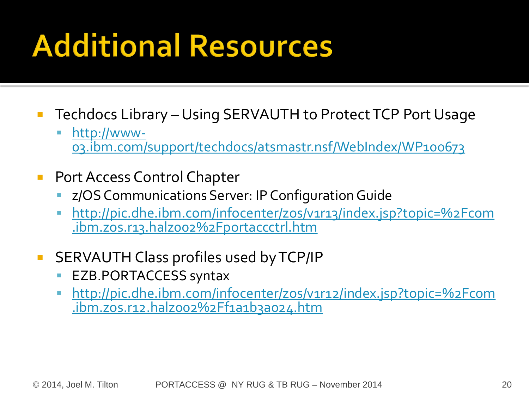### **Additional Resources**

- **Techdocs Library Using SERVAUTH to Protect TCP Port Usage** 
	- [http://www-](http://www-03.ibm.com/support/techdocs/atsmastr.nsf/WebIndex/WP100673)<br>[03.ibm.com/support/techdocs/atsmastr.nsf/WebIndex/WP100673](http://www-03.ibm.com/support/techdocs/atsmastr.nsf/WebIndex/WP100673)
- **Port Access Control Chapter** 
	- z/OS Communications Server: IP Configuration Guide
	- [http://pic.dhe.ibm.com/infocenter/zos/v1r13/index.jsp?topic=%2Fcom](http://pic.dhe.ibm.com/infocenter/zos/v1r13/index.jsp?topic=/com.ibm.zos.r13.halz002/portaccctrl.htm) [.ibm.zos.r13.halz002%2Fportaccctrl.htm](http://pic.dhe.ibm.com/infocenter/zos/v1r13/index.jsp?topic=/com.ibm.zos.r13.halz002/portaccctrl.htm)
- **SERVAUTH Class profiles used by TCP/IP** 
	- EZB.PORTACCESS syntax
	- [http://pic.dhe.ibm.com/infocenter/zos/v1r12/index.jsp?topic=%2Fcom](http://pic.dhe.ibm.com/infocenter/zos/v1r12/index.jsp?topic=/com.ibm.zos.r12.halz002/f1a1b3a024.htm) [.ibm.zos.r12.halz002%2Ff1a1b3a024.htm](http://pic.dhe.ibm.com/infocenter/zos/v1r12/index.jsp?topic=/com.ibm.zos.r12.halz002/f1a1b3a024.htm)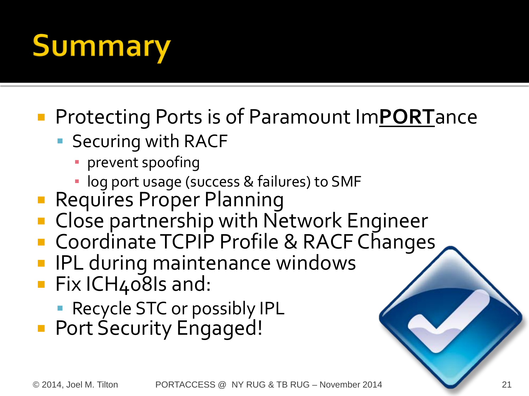# **Summary**

### Protecting Ports is of Paramount Im**PORT**ance

- **Securing with RACF** 
	- **·** prevent spoofing
	- log port usage (success & failures) to SMF
- Requires Proper Planning
- Close partnership with Network Engineer
- Coordinate TCPIP Profile & RACF Changes
- IPL during maintenance windows
- **Fix ICH408Is and:** 
	- **Recycle STC or possibly IPL**
- **Port Security Engaged!**